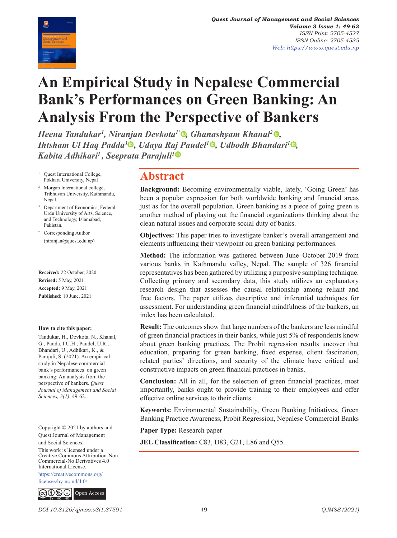

# **An Empirical Study in Nepalese Commercial Bank's Performances on Green Banking: An Analysis From the Perspective of Bankers**

*Heena Tandukar1 , Niranjan Devkota1[\\* ,](https://orcid.org/0000-0001-9989-0397) Ghanashyam Khanal[2 ,](https://orcid.org/0000-0001-6640-6124) Ihtsham Ul Haq Padda<sup>3</sup><sup>®</sup>, Udaya Raj Paudel<sup>1</sup><sup>®</sup>, Udbodh Bhandari<sup><i>1*</sup><sup>®</sup>, *Kabita Adhikari1 , Seeprata Parajuli[1](https://orcid.org/0000-0003-4466-4784)*

- <sup>1</sup> Quest International College, Pokhara University, Nepal
- <sup>2</sup> Morgan International college, Tribhuvan University, Kathmandu, Nepal.
- <sup>3</sup> Department of Economics, Federal Urdu University of Arts, Science, and Technology, Islamabad, Pakistan.
- \* Corresponding Author (niranjan@quest.edu.np)

**Received:** 22 October, 2020 **Revised:** 5 May, 2021 **Accepted:** 9 May, 2021 **Published:** 10 June, 2021

#### **How to cite this paper:**

Tandukar, H., Devkota, N., Khanal, G., Padda, I.U.H., Paudel, U.R., Bhandari, U., Adhikari, K., & Parajuli, S. (2021). An empirical study in Nepalese commercial bank's performances on green banking: An analysis from the perspective of bankers. *Quest Journal of Management and Social Sciences, 3(1)*, 49-62.

Copyright © 2021 by authors and Quest Journal of Management and Social Sciences. This work is licensed under a Creative Commons Attribution-Non Commercial-No Derivatives 4.0 International License.

[https://creativecommons.org/](https://creativecommons.org/  licenses/by-nc-nd/4.0/ )  [licenses/by-nc-nd/4.0/](https://creativecommons.org/  licenses/by-nc-nd/4.0/ )



### **Abstract**

**Background:** Becoming environmentally viable, lately, 'Going Green' has been a popular expression for both worldwide banking and financial areas just as for the overall population. Green banking as a piece of going green is another method of playing out the financial organizations thinking about the clean natural issues and corporate social duty of banks.

**Objectives:** This paper tries to investigate banker's overall arrangement and elements influencing their viewpoint on green banking performances.

**Method:** The information was gathered between June–October 2019 from various banks in Kathmandu valley, Nepal. The sample of 326 financial representatives has been gathered by utilizing a purposive sampling technique. Collecting primary and secondary data, this study utilizes an explanatory research design that assesses the causal relationship among reliant and free factors. The paper utilizes descriptive and inferential techniques for assessment. For understanding green financial mindfulness of the bankers, an index has been calculated.

**Result:** The outcomes show that large numbers of the bankers are less mindful of green financial practices in their banks, while just 5% of respondents know about green banking practices. The Probit regression results uncover that education, preparing for green banking, fixed expense, client fascination, related parties' directions, and security of the climate have critical and constructive impacts on green financial practices in banks.

**Conclusion:** All in all, for the selection of green financial practices, most importantly, banks ought to provide training to their employees and offer effective online services to their clients.

**Keywords:** Environmental Sustainability, Green Banking Initiatives, Green Banking Practice Awareness, Probit Regression, Nepalese Commercial Banks

**Paper Type:** Research paper

**JEL Classification:** C83, D83, G21, L86 and Q55.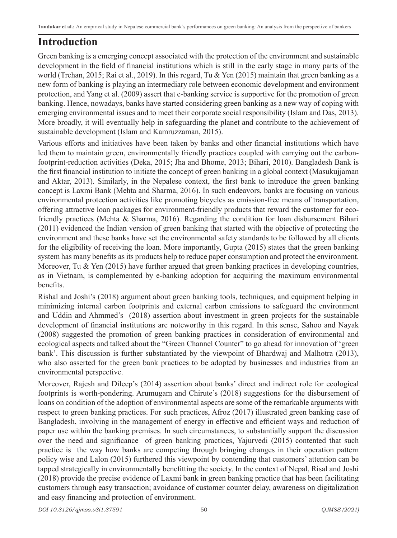## **Introduction**

Green banking is a emerging concept associated with the protection of the environment and sustainable development in the field of financial institutions which is still in the early stage in many parts of the world (Trehan, 2015; Rai et al., 2019). In this regard, Tu & Yen (2015) maintain that green banking as a new form of banking is playing an intermediary role between economic development and environment protection, and Yang et al. (2009) assert that e-banking service is supportive for the promotion of green banking. Hence, nowadays, banks have started considering green banking as a new way of coping with emerging environmental issues and to meet their corporate social responsibility (Islam and Das, 2013). More broadly, it will eventually help in safeguarding the planet and contribute to the achievement of sustainable development (Islam and Kamruzzaman, 2015).

Various efforts and initiatives have been taken by banks and other financial institutions which have led them to maintain green, environmentally friendly practices coupled with carrying out the carbonfootprint-reduction activities (Deka, 2015; Jha and Bhome, 2013; Bihari, 2010). Bangladesh Bank is the first financial institution to initiate the concept of green banking in a global context (Masukujjaman and Aktar, 2013). Similarly, in the Nepalese context, the first bank to introduce the green banking concept is Laxmi Bank (Mehta and Sharma, 2016). In such endeavors, banks are focusing on various environmental protection activities like promoting bicycles as emission-free means of transportation, offering attractive loan packages for environment-friendly products that reward the customer for ecofriendly practices (Mehta & Sharma, 2016). Regarding the condition for loan disbursement Bihari (2011) evidenced the Indian version of green banking that started with the objective of protecting the environment and these banks have set the environmental safety standards to be followed by all clients for the eligibility of receiving the loan. More importantly, Gupta (2015) states that the green banking system has many benefits as its products help to reduce paper consumption and protect the environment. Moreover, Tu & Yen (2015) have further argued that green banking practices in developing countries, as in Vietnam, is complemented by e-banking adoption for acquiring the maximum environmental benefits.

Rishal and Joshi's (2018) argument about green banking tools, techniques, and equipment helping in minimizing internal carbon footprints and external carbon emissions to safeguard the environment and Uddin and Ahmmed's (2018) assertion about investment in green projects for the sustainable development of financial institutions are noteworthy in this regard. In this sense, Sahoo and Nayak (2008) suggested the promotion of green banking practices in consideration of environmental and ecological aspects and talked about the "Green Channel Counter" to go ahead for innovation of 'green bank'. This discussion is further substantiated by the viewpoint of Bhardwaj and Malhotra (2013), who also asserted for the green bank practices to be adopted by businesses and industries from an environmental perspective.

Moreover, Rajesh and Dileep's (2014) assertion about banks' direct and indirect role for ecological footprints is worth-pondering. Arumugam and Chirute's (2018) suggestions for the disbursement of loans on condition of the adoption of environmental aspects are some of the remarkable arguments with respect to green banking practices. For such practices, Afroz (2017) illustrated green banking case of Bangladesh, involving in the management of energy in effective and efficient ways and reduction of paper use within the banking premises. In such circumstances, to substantially support the discussion over the need and significance of green banking practices, Yajurvedi (2015) contented that such practice is the way how banks are competing through bringing changes in their operation pattern policy wise and Lalon (2015) furthered this viewpoint by contending that customers' attention can be tapped strategically in environmentally benefitting the society. In the context of Nepal, Risal and Joshi (2018) provide the precise evidence of Laxmi bank in green banking practice that has been facilitating customers through easy transaction; avoidance of customer counter delay, awareness on digitalization and easy financing and protection of environment.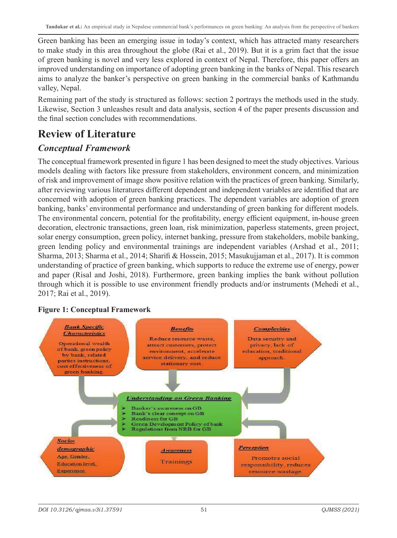Green banking has been an emerging issue in today's context, which has attracted many researchers to make study in this area throughout the globe (Rai et al., 2019). But it is a grim fact that the issue of green banking is novel and very less explored in context of Nepal. Therefore, this paper offers an improved understanding on importance of adopting green banking in the banks of Nepal. This research aims to analyze the banker's perspective on green banking in the commercial banks of Kathmandu valley, Nepal.

Remaining part of the study is structured as follows: section 2 portrays the methods used in the study. Likewise, Section 3 unleashes result and data analysis, section 4 of the paper presents discussion and the final section concludes with recommendations.

### **Review of Literature**

### *Conceptual Framework*

The conceptual framework presented in figure 1 has been designed to meet the study objectives. Various models dealing with factors like pressure from stakeholders, environment concern, and minimization of risk and improvement of image show positive relation with the practices of green banking. Similarly, after reviewing various literatures different dependent and independent variables are identified that are concerned with adoption of green banking practices. The dependent variables are adoption of green banking, banks' environmental performance and understanding of green banking for different models. The environmental concern, potential for the profitability, energy efficient equipment, in-house green decoration, electronic transactions, green loan, risk minimization, paperless statements, green project, solar energy consumption, green policy, internet banking, pressure from stakeholders, mobile banking, green lending policy and environmental trainings are independent variables (Arshad et al., 2011; Sharma, 2013; Sharma et al., 2014; Sharifi & Hossein, 2015; Masukujjaman et al., 2017). It is common understanding of practice of green banking, which supports to reduce the extreme use of energy, power and paper (Risal and Joshi, 2018). Furthermore, green banking implies the bank without pollution through which it is possible to use environment friendly products and/or instruments (Mehedi et al., 2017; Rai et al., 2019).

#### **Figure 1: Conceptual Framework**

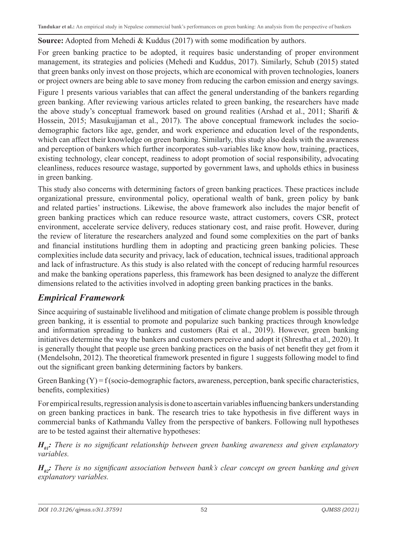#### **Source:** Adopted from Mehedi & Kuddus (2017) with some modification by authors.

For green banking practice to be adopted, it requires basic understanding of proper environment management, its strategies and policies (Mehedi and Kuddus, 2017). Similarly, Schub (2015) stated that green banks only invest on those projects, which are economical with proven technologies, loaners or project owners are being able to save money from reducing the carbon emission and energy savings.

Figure 1 presents various variables that can affect the general understanding of the bankers regarding green banking. After reviewing various articles related to green banking, the researchers have made the above study's conceptual framework based on ground realities (Arshad et al., 2011; Sharifi & Hossein, 2015; Masukujjaman et al., 2017). The above conceptual framework includes the sociodemographic factors like age, gender, and work experience and education level of the respondents, which can affect their knowledge on green banking. Similarly, this study also deals with the awareness and perception of bankers which further incorporates sub-variables like know how, training, practices, existing technology, clear concept, readiness to adopt promotion of social responsibility, advocating cleanliness, reduces resource wastage, supported by government laws, and upholds ethics in business in green banking.

This study also concerns with determining factors of green banking practices. These practices include organizational pressure, environmental policy, operational wealth of bank, green policy by bank and related parties' instructions. Likewise, the above framework also includes the major benefit of green banking practices which can reduce resource waste, attract customers, covers CSR, protect environment, accelerate service delivery, reduces stationary cost, and raise profit. However, during the review of literature the researchers analyzed and found some complexities on the part of banks and financial institutions hurdling them in adopting and practicing green banking policies. These complexities include data security and privacy, lack of education, technical issues, traditional approach and lack of infrastructure. As this study is also related with the concept of reducing harmful resources and make the banking operations paperless, this framework has been designed to analyze the different dimensions related to the activities involved in adopting green banking practices in the banks.

#### *Empirical Framework*

Since acquiring of sustainable livelihood and mitigation of climate change problem is possible through green banking, it is essential to promote and popularize such banking practices through knowledge and information spreading to bankers and customers (Rai et al., 2019). However, green banking initiatives determine the way the bankers and customers perceive and adopt it (Shrestha et al., 2020). It is generally thought that people use green banking practices on the basis of net benefit they get from it (Mendelsohn, 2012). The theoretical framework presented in figure 1 suggests following model to find out the significant green banking determining factors by bankers.

Green Banking  $(Y) = f$  (socio-demographic factors, awareness, perception, bank specific characteristics, benefits, complexities)

For empirical results, regression analysis is done to ascertain variables influencing bankers understanding on green banking practices in bank. The research tries to take hypothesis in five different ways in commercial banks of Kathmandu Valley from the perspective of bankers. Following null hypotheses are to be tested against their alternative hypotheses:

 $H_{01}$ : There is no significant relationship between green banking awareness and given explanatory *variables.*

*H<sub>n</sub>*: There is no significant association between bank's clear concept on green banking and given *explanatory variables.*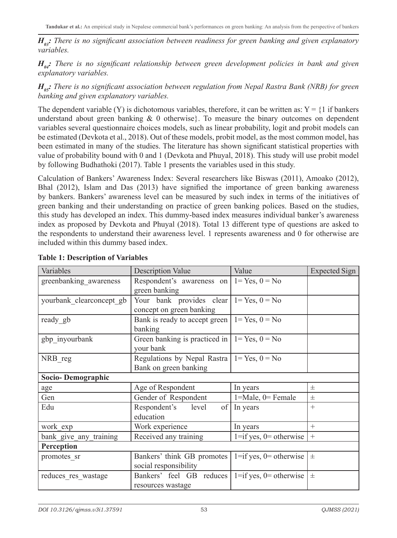$H_{a}$ <sup>2</sup>: There is no significant association between readiness for green banking and given explanatory *variables.* 

 $H_{0i}$ : There is no significant relationship between green development policies in bank and given *explanatory variables.* 

*H<sub>ns</sub>*: *There is no significant association between regulation from Nepal Rastra Bank (NRB) for green banking and given explanatory variables.*

The dependent variable (Y) is dichotomous variables, therefore, it can be written as:  $Y = \{1 \text{ if banks} \}$ understand about green banking  $\& 0$  otherwise}. To measure the binary outcomes on dependent variables several questionnaire choices models, such as linear probability, logit and probit models can be estimated (Devkota et al., 2018). Out of these models, probit model, as the most common model, has been estimated in many of the studies. The literature has shown significant statistical properties with value of probability bound with 0 and 1 (Devkota and Phuyal, 2018). This study will use probit model by following Budhathoki (2017). Table 1 presents the variables used in this study.

Calculation of Bankers' Awareness Index: Several researchers like Biswas (2011), Amoako (2012), Bhal (2012), Islam and Das (2013) have signified the importance of green banking awareness by bankers. Bankers' awareness level can be measured by such index in terms of the initiatives of green banking and their understanding on practice of green banking polices. Based on the studies, this study has developed an index. This dummy-based index measures individual banker's awareness index as proposed by Devkota and Phuyal (2018). Total 13 different type of questions are asked to the respondents to understand their awareness level. 1 represents awareness and 0 for otherwise are included within this dummy based index.

| Variables                | <b>Description Value</b>                            | Value                       | <b>Expected Sign</b> |
|--------------------------|-----------------------------------------------------|-----------------------------|----------------------|
| greenbanking awareness   | Respondent's awareness on $1 = Yes, 0 = No$         |                             |                      |
|                          | green banking                                       |                             |                      |
| yourbank_clearconcept_gb | Your bank provides clear $1 = Yes, 0 = No$          |                             |                      |
|                          | concept on green banking                            |                             |                      |
| ready gb                 | Bank is ready to accept green $  1 = Yes, 0 = No$   |                             |                      |
|                          | banking                                             |                             |                      |
| gbp inyourbank           | Green banking is practiced in $  1 = Yes, 0 = No$   |                             |                      |
|                          | your bank                                           |                             |                      |
| NRB reg                  | Regulations by Nepal Rastra $ 1 = Yes, 0 = No$      |                             |                      |
|                          | Bank on green banking                               |                             |                      |
| Socio-Demographic        |                                                     |                             |                      |
| age                      | Age of Respondent                                   | In years                    | $\pm$                |
| Gen                      | Gender of Respondent                                | $1 = Male$ , $0 = Female$   | 士                    |
| Edu                      | Respondent's<br>level                               | of In years                 | $+$                  |
|                          | education                                           |                             |                      |
| work exp                 | Work experience                                     | In years                    | $^{+}$               |
| bank give any training   | Received any training                               | $1 = if yes, 0 = otherwise$ | $+$                  |
| Perception               |                                                     |                             |                      |
| promotes_sr              | Bankers' think GB promotes                          | $1 = if yes, 0 = otherwise$ | $\pm$                |
|                          | social responsibility                               |                             |                      |
| reduces res wastage      | Bankers' feel GB reduces $ 1=$ if yes, 0= otherwise |                             | $\pm$                |
|                          | resources wastage                                   |                             |                      |

#### **Table 1: Description of Variables**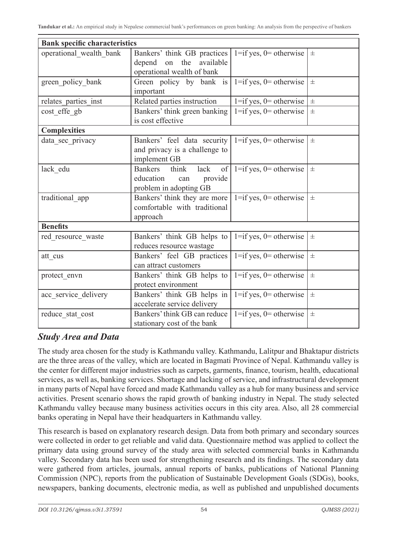| <b>Bank specific characteristics</b> |                                                         |                             |       |
|--------------------------------------|---------------------------------------------------------|-----------------------------|-------|
| operational_wealth_bank              | Bankers' think GB practices                             | $1 = if yes, 0 = otherwise$ | $\pm$ |
|                                      | depend on the available                                 |                             |       |
|                                      | operational wealth of bank                              |                             |       |
| green policy bank                    | Green policy by bank is $ 1=$ if yes, 0 = otherwise     |                             | $\pm$ |
|                                      | important                                               |                             |       |
| relates parties inst                 | Related parties instruction                             | $1 = if yes, 0 = otherwise$ | $\pm$ |
| cost effe gb                         | Bankers' think green banking                            | $1 = if yes, 0 = otherwise$ | $\pm$ |
|                                      | is cost effective                                       |                             |       |
| <b>Complexities</b>                  |                                                         |                             |       |
| data sec privacy                     | Bankers' feel data security $1 = if yes, 0 = otherwise$ |                             | $\pm$ |
|                                      | and privacy is a challenge to                           |                             |       |
|                                      | implement GB                                            |                             |       |
| lack edu                             | Bankers think<br>lack<br>of                             | $1 = if yes, 0 = otherwise$ | $\pm$ |
|                                      | education<br>provide<br>can                             |                             |       |
|                                      | problem in adopting GB                                  |                             |       |
| traditional app                      | Bankers' think they are more                            | $1 = if yes, 0 = otherwise$ | $\pm$ |
|                                      | comfortable with traditional                            |                             |       |
|                                      | approach                                                |                             |       |
| <b>Benefits</b>                      |                                                         |                             |       |
| red_resource_waste                   | Bankers' think GB helps to                              | $1 = if yes, 0 = otherwise$ | $\pm$ |
|                                      | reduces resource wastage                                |                             |       |
| att cus                              | Bankers' feel GB practices                              | $1 = if yes, 0 = otherwise$ | $\pm$ |
|                                      | can attract customers                                   |                             |       |
| protect envn                         | Bankers' think GB helps to                              | $1 = if yes, 0 = otherwise$ | $\pm$ |
|                                      | protect environment                                     |                             |       |
| acc_service_delivery                 | Bankers' think GB helps in                              | $1 = if yes, 0 = otherwise$ | $\pm$ |
|                                      | accelerate service delivery                             |                             |       |
| reduce stat cost                     | Bankers' think GB can reduce                            | $1 = if yes, 0 = otherwise$ | $\pm$ |
|                                      | stationary cost of the bank                             |                             |       |

### *Study Area and Data*

The study area chosen for the study is Kathmandu valley. Kathmandu, Lalitpur and Bhaktapur districts are the three areas of the valley, which are located in Bagmati Province of Nepal. Kathmandu valley is the center for different major industries such as carpets, garments, finance, tourism, health, educational services, as well as, banking services. Shortage and lacking of service, and infrastructural development in many parts of Nepal have forced and made Kathmandu valley as a hub for many business and service activities. Present scenario shows the rapid growth of banking industry in Nepal. The study selected Kathmandu valley because many business activities occurs in this city area. Also, all 28 commercial banks operating in Nepal have their headquarters in Kathmandu valley.

This research is based on explanatory research design. Data from both primary and secondary sources were collected in order to get reliable and valid data. Questionnaire method was applied to collect the primary data using ground survey of the study area with selected commercial banks in Kathmandu valley. Secondary data has been used for strengthening research and its findings. The secondary data were gathered from articles, journals, annual reports of banks, publications of National Planning Commission (NPC), reports from the publication of Sustainable Development Goals (SDGs), books, newspapers, banking documents, electronic media, as well as published and unpublished documents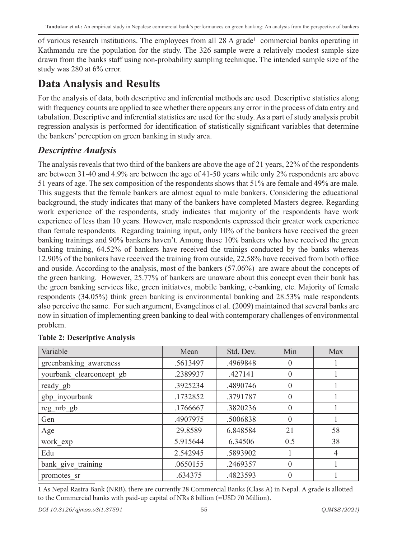of various research institutions. The employees from all 28 A grade<sup>1</sup> commercial banks operating in Kathmandu are the population for the study. The 326 sample were a relatively modest sample size drawn from the banks staff using non-probability sampling technique. The intended sample size of the study was 280 at 6% error.

## **Data Analysis and Results**

For the analysis of data, both descriptive and inferential methods are used. Descriptive statistics along with frequency counts are applied to see whether there appears any error in the process of data entry and tabulation. Descriptive and inferential statistics are used for the study. As a part of study analysis probit regression analysis is performed for identification of statistically significant variables that determine the bankers' perception on green banking in study area.

### *Descriptive Analysis*

The analysis reveals that two third of the bankers are above the age of 21 years, 22% of the respondents are between 31-40 and 4.9% are between the age of 41-50 years while only 2% respondents are above 51 years of age. The sex composition of the respondents shows that 51% are female and 49% are male. This suggests that the female bankers are almost equal to male bankers. Considering the educational background, the study indicates that many of the bankers have completed Masters degree. Regarding work experience of the respondents, study indicates that majority of the respondents have work experience of less than 10 years. However, male respondents expressed their greater work experience than female respondents. Regarding training input, only 10% of the bankers have received the green banking trainings and 90% bankers haven't. Among those 10% bankers who have received the green banking training, 64.52% of bankers have received the trainigs conducted by the banks whereas 12.90% of the bankers have received the training from outside, 22.58% have received from both office and ouside. According to the analysis, most of the bankers (57.06%) are aware about the concepts of the green banking. However, 25.77% of bankers are unaware about this concept even their bank has the green banking services like, green initiatves, mobile banking, e-banking, etc. Majority of female respondents (34.05%) think green banking is environmental banking and 28.53% male respondents also perceive the same. For such argument, Evangelinos et al. (2009) maintained that several banks are now in situation of implementing green banking to deal with contemporary challenges of environmental problem.

| Variable                 | Mean     | Std. Dev. | Min              | Max |
|--------------------------|----------|-----------|------------------|-----|
| greenbanking_awareness   | .5613497 | .4969848  | $\left( \right)$ |     |
| yourbank clearconcept gb | .2389937 | .427141   | $\theta$         |     |
| ready gb                 | .3925234 | .4890746  | $\Omega$         |     |
| gbp_inyourbank           | .1732852 | .3791787  | $\Omega$         |     |
| reg nrb gb               | .1766667 | .3820236  | $\theta$         |     |
| Gen                      | .4907975 | .5006838  | $\Omega$         |     |
| Age                      | 29.8589  | 6.848584  | 21               | 58  |
| work exp                 | 5.915644 | 6.34506   | 0.5              | 38  |
| Edu                      | 2.542945 | .5893902  |                  | 4   |
| bank give training       | .0650155 | .2469357  | $\Omega$         |     |
| promotes sr              | .634375  | 4823593   | $\Omega$         |     |

#### **Table 2: Descriptive Analysis**

1 As Nepal Rastra Bank (NRB), there are currently 28 Commercial Banks (Class A) in Nepal. A grade is allotted to the Commercial banks with paid-up capital of NRs 8 billion ( $\approx$ USD 70 Million).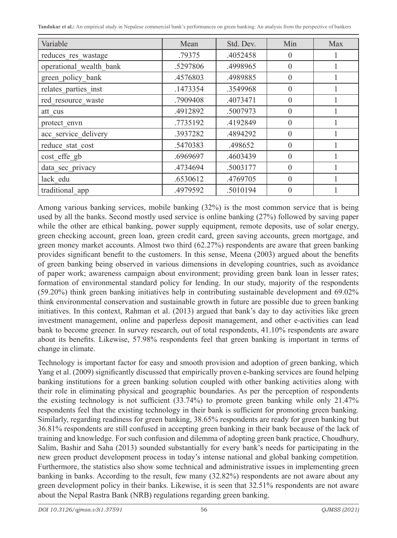**Tandukar et al.:** An empirical study in Nepalese commercial bank's performances on green banking: An analysis from the perspective of bankers

| Variable                | Mean     | Std. Dev. | Min      | Max |
|-------------------------|----------|-----------|----------|-----|
| reduces res wastage     | .79375   | .4052458  | $\Omega$ |     |
| operational_wealth_bank | .5297806 | .4998965  | $\theta$ |     |
| green policy bank       | .4576803 | .4989885  | $\theta$ |     |
| relates parties inst    | .1473354 | .3549968  | $\Omega$ |     |
| red resource waste      | .7909408 | .4073471  | $\Omega$ |     |
| att cus                 | .4912892 | .5007973  | $\theta$ |     |
| protect envn            | .7735192 | .4192849  | $\Omega$ |     |
| acc service delivery    | .3937282 | .4894292  | $\Omega$ |     |
| reduce stat cost        | .5470383 | .498652   | $\Omega$ |     |
| cost effe gb            | .6969697 | .4603439  | $\Omega$ |     |
| data sec privacy        | .4734694 | .5003177  | $\Omega$ |     |
| lack edu                | .6530612 | .4769705  | $\theta$ |     |
| traditional_app         | .4979592 | .5010194  | $\Omega$ |     |

Among various banking services, mobile banking (32%) is the most common service that is being used by all the banks. Second mostly used service is online banking (27%) followed by saving paper while the other are ethical banking, power supply equipment, remote deposits, use of solar energy, green checking account, green loan, green credit card, green saving accounts, green mortgage, and green money market accounts. Almost two third (62.27%) respondents are aware that green banking provides significant benefit to the customers. In this sense, Meena (2003) argued about the benefits of green banking being observed in various dimensions in developing countries, such as avoidance of paper work; awareness campaign about environment; providing green bank loan in lesser rates; formation of environmental standard policy for lending. In our study, majority of the respondents (59.20%) think green banking initiatives help in contributing sustainable development and 69.02% think environmental conservation and sustainable growth in future are possible due to green banking initiatives. In this context, Rahman et al. (2013) argued that bank's day to day activities like green investment management, online and paperless deposit management, and other e-activities can lead bank to become greener. In survey research, out of total respondents, 41.10% respondents are aware about its benefits. Likewise, 57.98% respondents feel that green banking is important in terms of change in climate.

Technology is important factor for easy and smooth provision and adoption of green banking, which Yang et al. (2009) significantly discussed that empirically proven e-banking services are found helping banking institutions for a green banking solution coupled with other banking activities along with their role in eliminating physical and geographic boundaries. As per the perception of respondents the existing technology is not sufficient  $(33.74%)$  to promote green banking while only  $21.47%$ respondents feel that the existing technology in their bank is sufficient for promoting green banking. Similarly, regarding readiness for green banking, 38.65% respondents are ready for green banking but 36.81% respondents are still confused in accepting green banking in their bank because of the lack of training and knowledge. For such confusion and dilemma of adopting green bank practice, Choudhury, Salim, Bashir and Saha (2013) sounded substantially for every bank's needs for participating in the new green product development process in today's intense national and global banking competition. Furthermore, the statistics also show some technical and administrative issues in implementing green banking in banks. According to the result, few many (32.82%) respondents are not aware about any green development policy in their banks. Likewise, it is seen that 32.51% respondents are not aware about the Nepal Rastra Bank (NRB) regulations regarding green banking.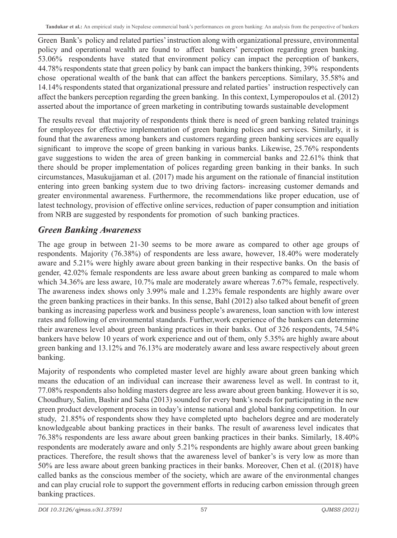Green Bank's policy and related parties' instruction along with organizational pressure, environmental policy and operational wealth are found to affect bankers' perception regarding green banking. 53.06% respondents have stated that environment policy can impact the perception of bankers, 44.78% respondents state that green policy by bank can impact the bankers thinking, 39% respondents chose operational wealth of the bank that can affect the bankers perceptions. Similary, 35.58% and 14.14% respondents stated that organizational pressure and related parties' instruction respectively can affect the bankers perception regarding the green banking. In this context, Lymperopoulos et al. (2012) asserted about the importance of green marketing in contributing towards sustainable development

The results reveal that majority of respondents think there is need of green banking related trainings for employees for effective implementation of green banking polices and services. Similarly, it is found that the awareness among bankers and customers regarding green banking services are equally significant to improve the scope of green banking in various banks. Likewise, 25.76% respondents gave suggestions to widen the area of green banking in commercial banks and 22.61% think that there should be proper implementation of polices regarding green banking in their banks. In such circumstances, Masukujjaman et al. (2017) made his argument on the rationale of financial institution entering into green banking system due to two driving factors- increasing customer demands and greater environmental awareness. Furthermore, the recommendations like proper education, use of latest technology, provision of effective online services, reduction of paper consumption and initiation from NRB are suggested by respondents for promotion of such banking practices.

### *Green Banking Awareness*

The age group in between 21-30 seems to be more aware as compared to other age groups of respondents. Majority (76.38%) of respondents are less aware, however, 18.40% were moderately aware and 5.21% were highly aware about green banking in their respective banks. On the basis of gender, 42.02% female respondents are less aware about green banking as compared to male whom which 34.36% are less aware, 10.7% male are moderately aware whereas 7.67% female, respectively. The awareness index shows only 3.99% male and 1.23% female respondents are highly aware over the green banking practices in their banks. In this sense, Bahl (2012) also talked about benefit of green banking as increasing paperless work and business people's awareness, loan sanction with low interest rates and following of environmental standards. Further,work experience of the bankers can determine their awareness level about green banking practices in their banks. Out of 326 respondents, 74.54% bankers have below 10 years of work experience and out of them, only 5.35% are highly aware about green banking and 13.12% and 76.13% are moderately aware and less aware respectively about green banking.

Majority of respondents who completed master level are highly aware about green banking which means the education of an individual can increase their awareness level as well. In contrast to it, 77.08% respondents also holding masters degree are less aware about green banking. However it is so, Choudhury, Salim, Bashir and Saha (2013) sounded for every bank's needs for participating in the new green product development process in today's intense national and global banking competition. In our study, 21.85% of respondents show they have completed upto bachelors degree and are moderately knowledgeable about banking practices in their banks. The result of awareness level indicates that 76.38% respondents are less aware about green banking practices in their banks. Similarly, 18.40% respondents are moderately aware and only 5.21% respondents are highly aware about green banking practices. Therefore, the result shows that the awareness level of banker's is very low as more than 50% are less aware about green banking practices in their banks. Moreover, Chen et al. ((2018) have called banks as the conscious member of the society, which are aware of the environmental changes and can play crucial role to support the government efforts in reducing carbon emission through green banking practices.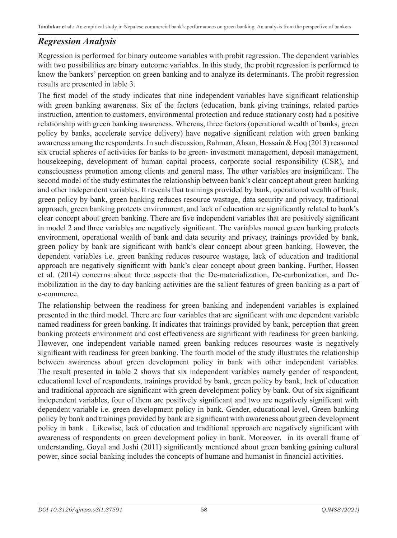### *Regression Analysis*

Regression is performed for binary outcome variables with probit regression. The dependent variables with two possibilities are binary outcome variables. In this study, the probit regression is performed to know the bankers' perception on green banking and to analyze its determinants. The probit regression results are presented in table 3.

The first model of the study indicates that nine independent variables have significant relationship with green banking awareness. Six of the factors (education, bank giving trainings, related parties instruction, attention to customers, environmental protection and reduce stationary cost) had a positive relationship with green banking awareness. Whereas, three factors (operational wealth of banks, green policy by banks, accelerate service delivery) have negative significant relation with green banking awareness among the respondents. In such discussion, Rahman, Ahsan, Hossain & Hoq (2013) reasoned six crucial spheres of activities for banks to be green- investment management, deposit management, housekeeping, development of human capital process, corporate social responsibility (CSR), and consciousness promotion among clients and general mass. The other variables are insignificant. The second model of the study estimates the relationship between bank's clear concept about green banking and other independent variables. It reveals that trainings provided by bank, operational wealth of bank, green policy by bank, green banking reduces resource wastage, data security and privacy, traditional approach, green banking protects environment, and lack of education are significantly related to bank's clear concept about green banking. There are five independent variables that are positively significant in model 2 and three variables are negatively significant. The variables named green banking protects environment, operational wealth of bank and data security and privacy, trainings provided by bank, green policy by bank are significant with bank's clear concept about green banking. However, the dependent variables i.e. green banking reduces resource wastage, lack of education and traditional approach are negatively significant with bank's clear concept about green banking. Further, Hossen et al. (2014) concerns about three aspects that the De-materialization, De-carbonization, and Demobilization in the day to day banking activities are the salient features of green banking as a part of e-commerce.

The relationship between the readiness for green banking and independent variables is explained presented in the third model. There are four variables that are significant with one dependent variable named readiness for green banking. It indicates that trainings provided by bank, perception that green banking protects environment and cost effectiveness are significant with readiness for green banking. However, one independent variable named green banking reduces resources waste is negatively significant with readiness for green banking. The fourth model of the study illustrates the relationship between awareness about green development policy in bank with other independent variables. The result presented in table 2 shows that six independent variables namely gender of respondent, educational level of respondents, trainings provided by bank, green policy by bank, lack of education and traditional approach are significant with green development policy by bank. Out of six significant independent variables, four of them are positively significant and two are negatively significant with dependent variable i.e. green development policy in bank. Gender, educational level, Green banking policy by bank and trainings provided by bank are significant with awareness about green development policy in bank . Likewise, lack of education and traditional approach are negatively significant with awareness of respondents on green development policy in bank. Moreover, in its overall frame of understanding, Goyal and Joshi (2011) significantly mentioned about green banking gaining cultural power, since social banking includes the concepts of humane and humanist in financial activities.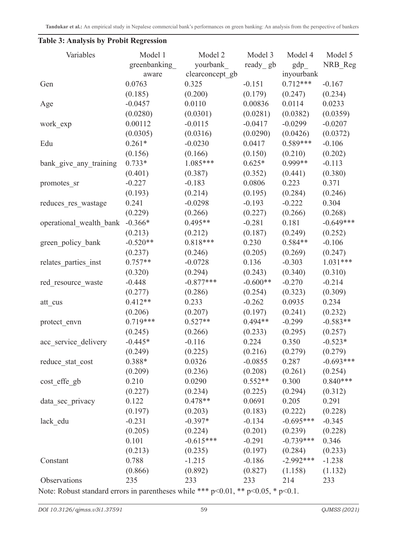| Variables               | Model 1<br>greenbanking | Model 2<br>yourbank | Model 3<br>ready gb | Model 4<br>gdp | Model 5<br>NRB Reg |
|-------------------------|-------------------------|---------------------|---------------------|----------------|--------------------|
|                         | aware                   | clearconcept_gb     |                     | inyourbank     |                    |
| Gen                     | 0.0763                  | 0.325               | $-0.151$            | $0.712***$     | $-0.167$           |
|                         | (0.185)                 | (0.200)             | (0.179)             | (0.247)        | (0.234)            |
| Age                     | $-0.0457$               | 0.0110              | 0.00836             | 0.0114         | 0.0233             |
|                         | (0.0280)                | (0.0301)            | (0.0281)            | (0.0382)       | (0.0359)           |
| work exp                | 0.00112                 | $-0.0115$           | $-0.0417$           | $-0.0299$      | $-0.0207$          |
|                         | (0.0305)                | (0.0316)            | (0.0290)            | (0.0426)       | (0.0372)           |
| Edu                     | $0.261*$                | $-0.0230$           | 0.0417              | $0.589***$     | $-0.106$           |
|                         | (0.156)                 | (0.166)             | (0.150)             | (0.210)        | (0.202)            |
| bank_give_any_training  | $0.733*$                | $1.085***$          | $0.625*$            | 0.999**        | $-0.113$           |
|                         | (0.401)                 | (0.387)             | (0.352)             | (0.441)        | (0.380)            |
| promotes_sr             | $-0.227$                | $-0.183$            | 0.0806              | 0.223          | 0.371              |
|                         | (0.193)                 | (0.214)             | (0.195)             | (0.284)        | (0.246)            |
| reduces_res_wastage     | 0.241                   | $-0.0298$           | $-0.193$            | $-0.222$       | 0.304              |
|                         | (0.229)                 | (0.266)             | (0.227)             | (0.266)        | (0.268)            |
| operational wealth bank | $-0.366*$               | $0.495**$           | $-0.281$            | 0.181          | $-0.649***$        |
|                         | (0.213)                 | (0.212)             | (0.187)             | (0.249)        | (0.252)            |
| green policy bank       | $-0.520**$              | $0.818***$          | 0.230               | $0.584**$      | $-0.106$           |
|                         | (0.237)                 | (0.246)             | (0.205)             | (0.269)        | (0.247)            |
| relates parties inst    | $0.757**$               | $-0.0728$           | 0.136               | $-0.303$       | $1.031***$         |
|                         | (0.320)                 | (0.294)             | (0.243)             | (0.340)        | (0.310)            |
| red resource waste      | $-0.448$                | $-0.877***$         | $-0.600**$          | $-0.270$       | $-0.214$           |
|                         | (0.277)                 | (0.286)             | (0.254)             | (0.323)        | (0.309)            |
| att_cus                 | $0.412**$               | 0.233               | $-0.262$            | 0.0935         | 0.234              |
|                         | (0.206)                 | (0.207)             | (0.197)             | (0.241)        | (0.232)            |
| protect envn            | $0.719***$              | $0.527**$           | $0.494**$           | $-0.299$       | $-0.583**$         |
|                         | (0.245)                 | (0.266)             | (0.233)             | (0.295)        | (0.257)            |
| acc service delivery    | $-0.445*$               | $-0.116$            | 0.224               | 0.350          | $-0.523*$          |
|                         | (0.249)                 | (0.225)             | (0.216)             | (0.279)        | (0.279)            |
| reduce stat cost        | 0.388*                  | 0.0326              | $-0.0855$           | 0.287          | $-0.693***$        |
|                         | (0.209)                 | (0.236)             | (0.208)             | (0.261)        | (0.254)            |
| cost effe gb            | 0.210                   | 0.0290              | $0.552**$           | 0.300          | $0.840***$         |
|                         | (0.227)                 | (0.234)             | (0.225)             | (0.294)        | (0.312)            |
| data_sec_privacy        | 0.122                   | $0.478**$           | 0.0691              | 0.205          | 0.291              |
|                         | (0.197)                 | (0.203)             | (0.183)             | (0.222)        | (0.228)            |
| lack edu                | $-0.231$                | $-0.397*$           | $-0.134$            | $-0.695***$    | $-0.345$           |
|                         | (0.205)                 | (0.224)             | (0.201)             | (0.239)        | (0.228)            |
|                         | 0.101                   | $-0.615***$         | $-0.291$            | $-0.739***$    | 0.346              |
|                         | (0.213)                 | (0.235)             | (0.197)             | (0.284)        | (0.233)            |
| Constant                | 0.788                   | $-1.215$            | $-0.186$            | $-2.992***$    | $-1.238$           |
|                         | (0.866)                 | (0.892)             | (0.827)             | (1.158)        | (1.132)            |
| Observations            | 235                     | 233                 | 233                 | 214            | 233                |

### **Table 3: Analysis by Probit Regression**

Note: Robust standard errors in parentheses while \*\*\* p<0.01, \*\* p<0.05, \* p<0.1.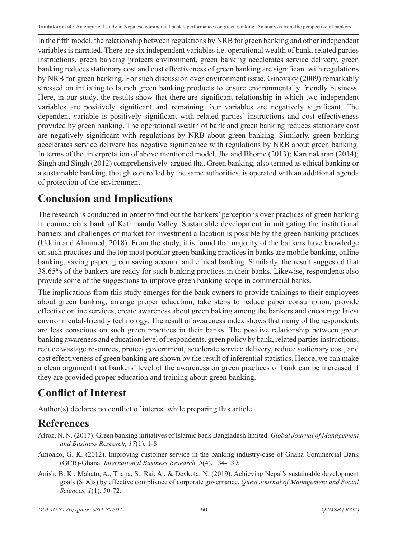In the fifth model, the relationship between regulations by NRB for green banking and other independent variables is narrated. There are six independent variables i.e. operational wealth of bank, related parties instructions, green banking protects environment, green banking accelerates service delivery, green banking reduces stationary cost and cost effectiveness of green banking are significant with regulations by NRB for green banking. For such discussion over environment issue, Ginovsky (2009) remarkably stressed on initiating to launch green banking products to ensure environmentally friendly business. Here, in our study, the results show that there are significant relationship in which two independent variables are positively significant and remaining four variables are negatively significant. The dependent variable is positively significant with related parties' instructions and cost effectiveness provided by green banking. The operational wealth of bank and green banking reduces stationary cost are negatively significant with regulations by NRB about green banking. Similarly, green banking accelerates service delivery has negative significance with regulations by NRB about green banking. In terms of the interpretation of above mentioned model, Jha and Bhome (2013); Karunakaran (2014); Singh and Singh (2012) comprehensively argued that Green banking, also termed as ethical banking or a sustainable banking, though controlled by the same authorities, is operated with an additional agenda of protection of the environment.

## **Conclusion and Implications**

The research is conducted in order to find out the bankers' perceptions over practices of green banking in commercials bank of Kathmandu Valley. Sustainable development in mitigating the institutional barriers and challenges of market for investment allocation is possible by the green banking practices (Uddin and Ahmmed, 2018). From the study, it is found that majority of the bankers have knowledge on such practices and the top most popular green banking practices in banks are mobile banking, online banking, saving paper, green saving account and ethical banking. Similarly, the result suggested that 38.65% of the bankers are ready for such banking practices in their banks. Likewise, respondents also provide some of the suggestions to improve green banking scope in commercial banks.

The implications from this study emerges for the bank owners to provide trainings to their employees about green banking, arrange proper education, take steps to reduce paper consumption, provide effective online services, create awareness about green baking among the bankers and encourage latest environmental-friendly technology. The result of awareness index shows that many of the respondents are less conscious on such green practices in their banks. The positive relationship between green banking awareness and education level of respondents, green policy by bank, related parties instructions, reduce wastage resources, protect government, accelerate service delivery, reduce stationary cost, and cost effectiveness of green banking are shown by the result of inferential statistics. Hence, we can make a clean argument that bankers' level of the awareness on green practices of bank can be increased if they are provided proper education and training about green banking.

## **Conflict of Interest**

Author(s) declares no conflict of interest while preparing this article.

## **References**

- Afroz, N. N. (2017). Green banking initiatives of Islamic bank Bangladesh limited. *Global Journal of Management and Business Research, 17*(1), 1-8
- Amoako, G. K. (2012). Improving customer service in the banking industry-case of Ghana Commercial Bank (GCB)-Ghana. *International Business Research, 5*(4), 134-139.
- Anish, B. K., Mahato, A., Thapa, S., Rai, A., & Devkota, N. (2019). Achieving Nepal's sustainable development goals (SDGs) by effective compliance of corporate governance. *Quest Journal of Management and Social Sciences, 1*(1), 50-72.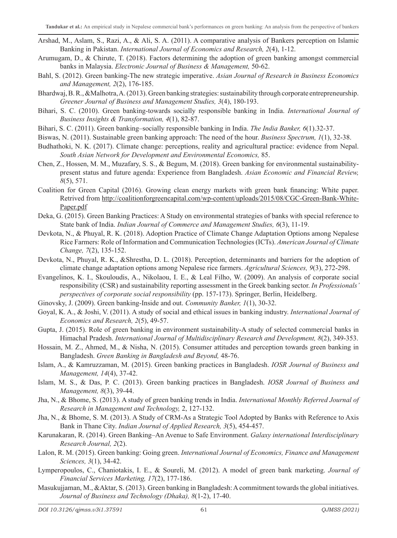- Arshad, M., Aslam, S., Razi, A., & Ali, S. A. (2011). A comparative analysis of Bankers perception on Islamic Banking in Pakistan. *International Journal of Economics and Research, 2*(4), 1-12.
- Arumugam, D., & Chirute, T. (2018). Factors determining the adoption of green banking amongst commercial banks in Malaysia. *Electronic Journal of Business & Management,* 50-62.
- Bahl, S. (2012). Green banking-The new strategic imperative. *Asian Journal of Research in Business Economics and Management, 2*(2), 176-185.
- Bhardwaj, B. R., &Malhotra, A. (2013). Green banking strategies: sustainability through corporate entrepreneurship. *Greener Journal of Business and Management Studies, 3*(4), 180-193.
- Bihari, S. C. (2010). Green banking-towards socially responsible banking in India. *International Journal of Business Insights & Transformation, 4*(1), 82-87.
- Bihari, S. C. (2011). Green banking–socially responsible banking in India. *The India Banker, 6*(1).32-37.
- Biswas, N. (2011). Sustainable green banking approach: The need of the hour. *Business Spectrum, 1*(1), 32-38.
- Budhathoki, N. K. (2017). Climate change: perceptions, reality and agricultural practice: evidence from Nepal. *South Asian Network for Development and Environmental Economics,* 85.
- Chen, Z., Hossen, M. M., Muzafary, S. S., & Begum, M. (2018). Green banking for environmental sustainabilitypresent status and future agenda: Experience from Bangladesh. *Asian Economic and Financial Review, 8*(5), 571.
- Coalition for Green Capital (2016). Growing clean energy markets with green bank financing: White paper. Retrived from http://coalitionforgreencapital.com/wp-content/uploads/2015/08/CGC-Green-Bank-White-Paper.pdf
- Deka, G. (2015). Green Banking Practices: A Study on environmental strategies of banks with special reference to State bank of India. *Indian Journal of Commerce and Management Studies, 6*(3), 11-19.
- Devkota, N., & Phuyal, R. K. (2018). Adoption Practice of Climate Change Adaptation Options among Nepalese Rice Farmers: Role of Information and Communication Technologies (ICTs). *American Journal of Climate Change, 7*(2), 135-152.
- Devkota, N., Phuyal, R. K., &Shrestha, D. L. (2018). Perception, determinants and barriers for the adoption of climate change adaptation options among Nepalese rice farmers. *Agricultural Sciences, 9*(3), 272-298.
- Evangelinos, K. I., Skouloudis, A., Nikolaou, I. E., & Leal Filho, W. (2009). An analysis of corporate social responsibility (CSR) and sustainability reporting assessment in the Greek banking sector. *In Professionals' perspectives of corporate social responsibility* (pp. 157-173). Springer, Berlin, Heidelberg.
- Ginovsky, J. (2009). Green banking-Inside and out. *Community Banker, 1*(1), 30-32.
- Goyal, K. A., & Joshi, V. (2011). A study of social and ethical issues in banking industry. *International Journal of Economics and Research, 2*(5), 49-57.
- Gupta, J. (2015). Role of green banking in environment sustainability-A study of selected commercial banks in Himachal Pradesh. *International Journal of Multidisciplinary Research and Development, 8*(2), 349-353.
- Hossain, M. Z., Ahmed, M., & Nisha, N. (2015). Consumer attitudes and perception towards green banking in Bangladesh. *Green Banking in Bangladesh and Beyond,* 48-76.
- Islam, A., & Kamruzzaman, M. (2015). Green banking practices in Bangladesh. *IOSR Journal of Business and Management, 14*(4), 37-42.
- Islam, M. S., & Das, P. C. (2013). Green banking practices in Bangladesh. *IOSR Journal of Business and Management, 8*(3), 39-44.
- Jha, N., & Bhome, S. (2013). A study of green banking trends in India. *International Monthly Referred Journal of Research in Management and Technology,* 2, 127-132.
- Jha, N., & Bhome, S. M. (2013). A Study of CRM-As a Strategic Tool Adopted by Banks with Reference to Axis Bank in Thane City. *Indian Journal of Applied Research, 3*(5), 454-457.
- Karunakaran, R. (2014). Green Banking–An Avenue to Safe Environment. *Galaxy international Interdisciplinary Research Journal, 2*(2).
- Lalon, R. M. (2015). Green banking: Going green. *International Journal of Economics, Finance and Management Sciences, 3*(1), 34-42.
- Lymperopoulos, C., Chaniotakis, I. E., & Soureli, M. (2012). A model of green bank marketing. *Journal of Financial Services Marketing, 17*(2), 177-186.
- Masukujjaman, M., &Aktar, S. (2013). Green banking in Bangladesh: A commitment towards the global initiatives. *Journal of Business and Technology (Dhaka), 8*(1-2), 17-40.